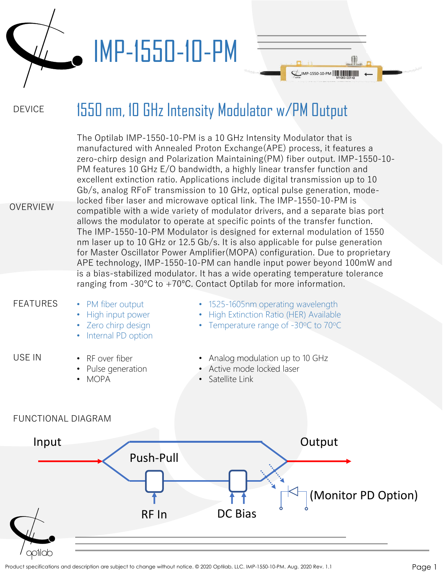

## IMP-1550-10-PM

#### DEVICE 1550 nm, 10 GHz Intensity Modulator w/PM Output

 $L$ IMP-1550-10-PM  $|| || || || || || || ||$ 

| <b>OVERVIEW</b>    | The Optilab IMP-1550-10-PM is a 10 GHz Intensity Modulator that is<br>manufactured with Annealed Proton Exchange (APE) process, it features a<br>zero-chirp design and Polarization Maintaining (PM) fiber output. IMP-1550-10-<br>PM features 10 GHz E/O bandwidth, a highly linear transfer function and<br>excellent extinction ratio. Applications include digital transmission up to 10<br>Gb/s, analog RFoF transmission to 10 GHz, optical pulse generation, mode-<br>locked fiber laser and microwave optical link. The IMP-1550-10-PM is<br>compatible with a wide variety of modulator drivers, and a separate bias port<br>allows the modulator to operate at specific points of the transfer function.<br>The IMP-1550-10-PM Modulator is designed for external modulation of 1550<br>nm laser up to 10 GHz or 12.5 Gb/s. It is also applicable for pulse generation<br>for Master Oscillator Power Amplifier (MOPA) configuration. Due to proprietary<br>APE technology, IMP-1550-10-PM can handle input power beyond 100mW and<br>is a bias-stabilized modulator. It has a wide operating temperature tolerance |                                                                                                                       |  |
|--------------------|-------------------------------------------------------------------------------------------------------------------------------------------------------------------------------------------------------------------------------------------------------------------------------------------------------------------------------------------------------------------------------------------------------------------------------------------------------------------------------------------------------------------------------------------------------------------------------------------------------------------------------------------------------------------------------------------------------------------------------------------------------------------------------------------------------------------------------------------------------------------------------------------------------------------------------------------------------------------------------------------------------------------------------------------------------------------------------------------------------------------------------|-----------------------------------------------------------------------------------------------------------------------|--|
|                    |                                                                                                                                                                                                                                                                                                                                                                                                                                                                                                                                                                                                                                                                                                                                                                                                                                                                                                                                                                                                                                                                                                                               | ranging from $-30^{\circ}$ C to $+70^{\circ}$ C. Contact Optilab for more information.                                |  |
| <b>FEATURES</b>    | • PM fiber output<br>High input power<br>• Zero chirp design<br>Internal PD option                                                                                                                                                                                                                                                                                                                                                                                                                                                                                                                                                                                                                                                                                                                                                                                                                                                                                                                                                                                                                                            | • 1525-1605nm operating wavelength<br>• High Extinction Ratio (HER) Available<br>• Temperature range of -30°C to 70°C |  |
| USE IN             | • RF over fiber<br>• Pulse generation<br>• MOPA                                                                                                                                                                                                                                                                                                                                                                                                                                                                                                                                                                                                                                                                                                                                                                                                                                                                                                                                                                                                                                                                               | • Analog modulation up to 10 GHz<br>• Active mode locked laser<br>• Satellite Link                                    |  |
| FUNCTIONAL DIAGRAM |                                                                                                                                                                                                                                                                                                                                                                                                                                                                                                                                                                                                                                                                                                                                                                                                                                                                                                                                                                                                                                                                                                                               |                                                                                                                       |  |

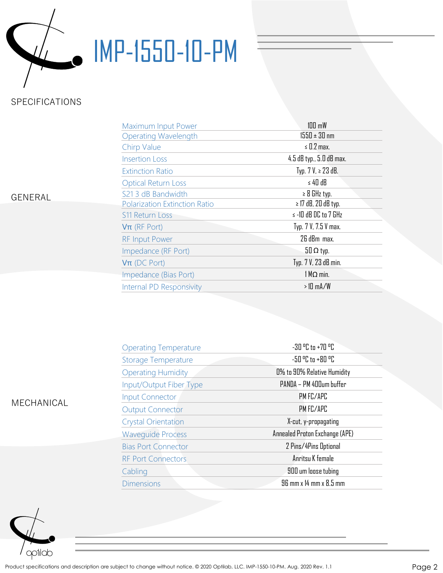

# IMP-1550-10-PM

## SPECIFICATIONS

| Maximum Input Power                  | $100 \text{ mW}$         |  |  |
|--------------------------------------|--------------------------|--|--|
| <b>Operating Wavelength</b>          | $1550 \pm 30$ nm         |  |  |
| Chirp Value                          | $\leq$ 0.2 max.          |  |  |
| <b>Insertion Loss</b>                | 4.5 dB typ., 5.0 dB max. |  |  |
| <b>Extinction Ratio</b>              | Typ. $7 V$ , ≥ $23 dB$ . |  |  |
| <b>Optical Return Loss</b>           | $\leq 40$ dB             |  |  |
| S21 3 dB Bandwidth                   | $\geq$ 8 GHz typ.        |  |  |
| <b>Polarization Extinction Ratio</b> | $\geq$ 17 dB, 20 dB typ. |  |  |
| <b>S11 Return Loss</b>               | $\le$ -10 dB DC to 7 GHz |  |  |
| $V\pi$ (RF Port)                     | Typ. 7 V, 7.5 V max.     |  |  |
| <b>RF Input Power</b>                | 26 dBm max.              |  |  |
| Impedance (RF Port)                  | $50 \Omega$ typ.         |  |  |
| $V\pi$ (DC Port)                     | Typ. 7 V, 23 dB min.     |  |  |
| Impedance (Bias Port)                | $1 M\Omega$ min.         |  |  |
| Internal PD Responsivity             | $>10$ mA/W               |  |  |

#### GENERAL

| <b>MECHANICAL</b> |  |
|-------------------|--|

| <b>Operating Temperature</b> | $-30$ $^{\circ}$ C to $+70$ $^{\circ}$ C |  |
|------------------------------|------------------------------------------|--|
| <b>Storage Temperature</b>   | -50 °C to +80 °C                         |  |
| <b>Operating Humidity</b>    | 0% to 90% Relative Humidity              |  |
| Input/Output Fiber Type      | PANDA - PM 400um buffer                  |  |
| <b>Input Connector</b>       | PM FC/APC                                |  |
| <b>Output Connector</b>      | PM FC/APC                                |  |
| <b>Crystal Orientation</b>   | X-cut, y-propagating                     |  |
| <b>Wavequide Process</b>     | Annealed Proton Exchange (APE)           |  |
| <b>Bias Port Connector</b>   | 2 Pins/4Pins Optional                    |  |
| <b>RF Port Connectors</b>    | Anritsu K female                         |  |
| Cabling                      | 900 um loose tubing                      |  |
| <b>Dimensions</b>            | 96 mm x 14 mm x 8.5 mm                   |  |

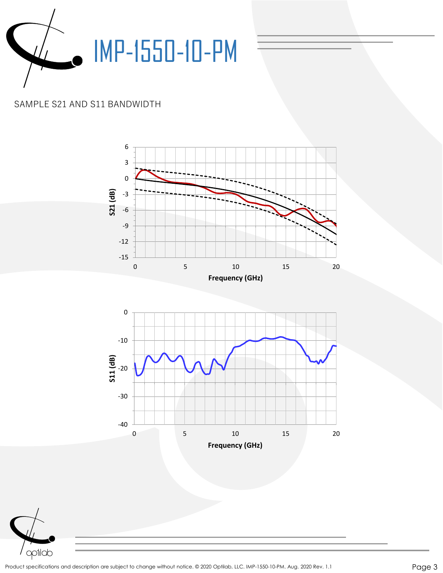

### SAMPLE S21 AND S11 BANDWIDTH





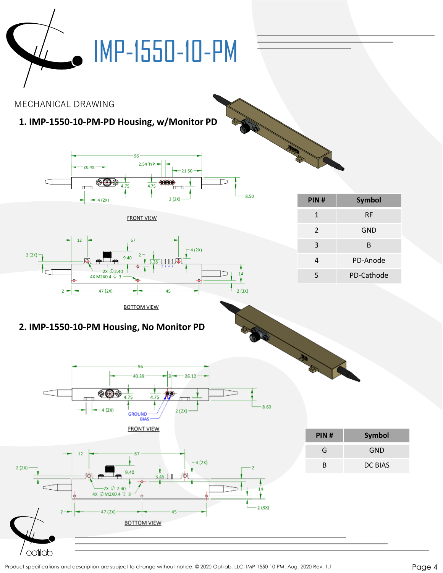

Product specifications and description are subject to change without notice. © 2020 Optilab, LLC. IMP-1550-10-PM. Aug. 2020 Rev. 1.1